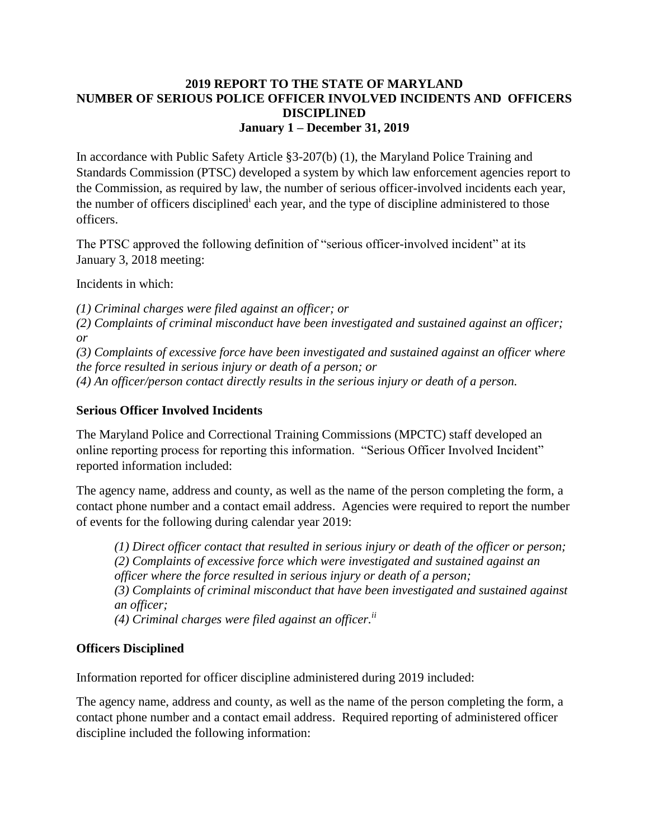## **2019 REPORT TO THE STATE OF MARYLAND NUMBER OF SERIOUS POLICE OFFICER INVOLVED INCIDENTS AND OFFICERS DISCIPLINED January 1 – December 31, 2019**

In accordance with Public Safety Article §3-207(b) (1), the Maryland Police Training and Standards Commission (PTSC) developed a system by which law enforcement agencies report to the Commission, as required by law, the number of serious officer-involved incidents each year, the number of officers disciplined<sup>i</sup> each year, and the type of discipline administered to those officers.

The PTSC approved the following definition of "serious officer-involved incident" at its January 3, 2018 meeting:

Incidents in which:

*(1) Criminal charges were filed against an officer; or* 

*(2) Complaints of criminal misconduct have been investigated and sustained against an officer; or* 

*(3) Complaints of excessive force have been investigated and sustained against an officer where the force resulted in serious injury or death of a person; or* 

*(4) An officer/person contact directly results in the serious injury or death of a person.* 

## **Serious Officer Involved Incidents**

The Maryland Police and Correctional Training Commissions (MPCTC) staff developed an online reporting process for reporting this information. "Serious Officer Involved Incident" reported information included:

The agency name, address and county, as well as the name of the person completing the form, a contact phone number and a contact email address. Agencies were required to report the number of events for the following during calendar year 2019:

*(1) Direct officer contact that resulted in serious injury or death of the officer or person; (2) Complaints of excessive force which were investigated and sustained against an officer where the force resulted in serious injury or death of a person; (3) Complaints of criminal misconduct that have been investigated and sustained against an officer; (4) Criminal charges were filed against an officer.ii*

## **Officers Disciplined**

Information reported for officer discipline administered during 2019 included:

The agency name, address and county, as well as the name of the person completing the form, a contact phone number and a contact email address. Required reporting of administered officer discipline included the following information: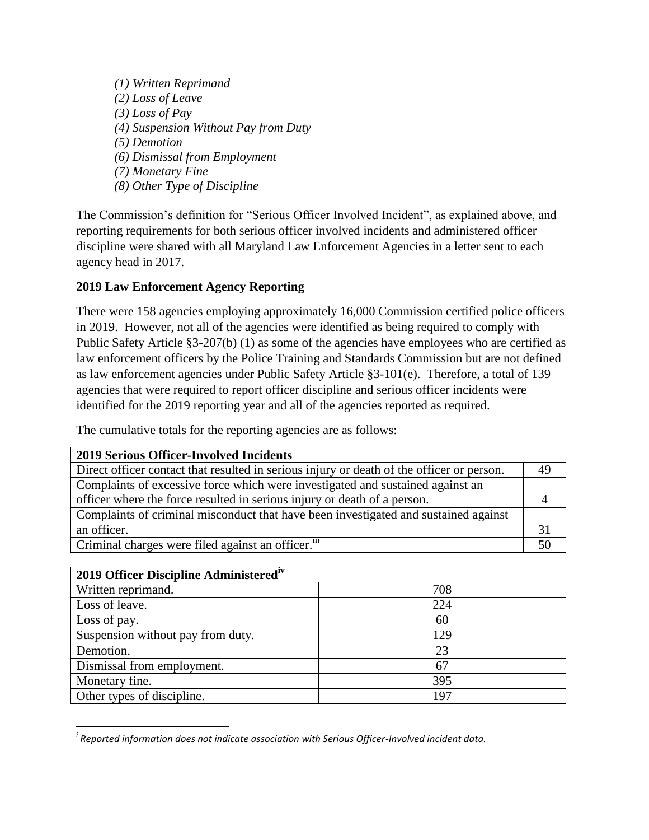*(1) Written Reprimand (2) Loss of Leave (3) Loss of Pay (4) Suspension Without Pay from Duty (5) Demotion (6) Dismissal from Employment (7) Monetary Fine (8) Other Type of Discipline* 

The Commission's definition for "Serious Officer Involved Incident", as explained above, and reporting requirements for both serious officer involved incidents and administered officer discipline were shared with all Maryland Law Enforcement Agencies in a letter sent to each agency head in 2017.

## **2019 Law Enforcement Agency Reporting**

There were 158 agencies employing approximately 16,000 Commission certified police officers in 2019. However, not all of the agencies were identified as being required to comply with Public Safety Article §3-207(b) (1) as some of the agencies have employees who are certified as law enforcement officers by the Police Training and Standards Commission but are not defined as law enforcement agencies under Public Safety Article §3-101(e). Therefore, a total of 139 agencies that were required to report officer discipline and serious officer incidents were identified for the 2019 reporting year and all of the agencies reported as required.

The cumulative totals for the reporting agencies are as follows:

| <b>2019 Serious Officer-Involved Incidents</b>                                            |    |
|-------------------------------------------------------------------------------------------|----|
| Direct officer contact that resulted in serious injury or death of the officer or person. | 49 |
| Complaints of excessive force which were investigated and sustained against an            |    |
| officer where the force resulted in serious injury or death of a person.                  |    |
| Complaints of criminal misconduct that have been investigated and sustained against       |    |
| an officer.                                                                               | 31 |
| Criminal charges were filed against an officer. <sup>111</sup>                            | 50 |

| 2019 Officer Discipline Administered <sup>iv</sup> |     |  |
|----------------------------------------------------|-----|--|
| Written reprimand.                                 | 708 |  |
| Loss of leave.                                     | 224 |  |
| Loss of pay.                                       | 60  |  |
| Suspension without pay from duty.                  | 129 |  |
| Demotion.                                          | 23  |  |
| Dismissal from employment.                         | 67  |  |
| Monetary fine.                                     | 395 |  |
| Other types of discipline.                         | 197 |  |

 $\overline{\phantom{a}}$ *i Reported information does not indicate association with Serious Officer-Involved incident data.*